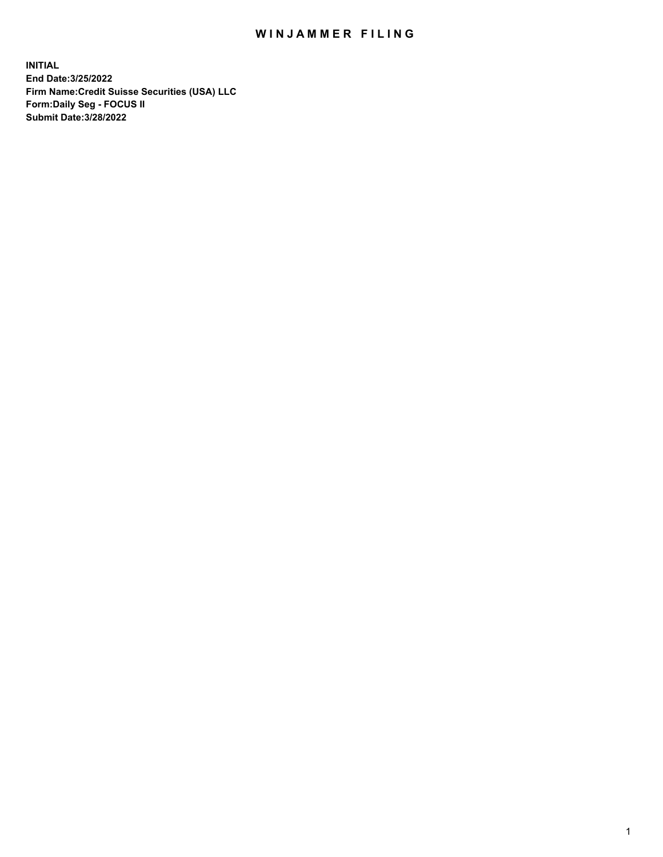## WIN JAMMER FILING

**INITIAL End Date:3/25/2022 Firm Name:Credit Suisse Securities (USA) LLC Form:Daily Seg - FOCUS II Submit Date:3/28/2022**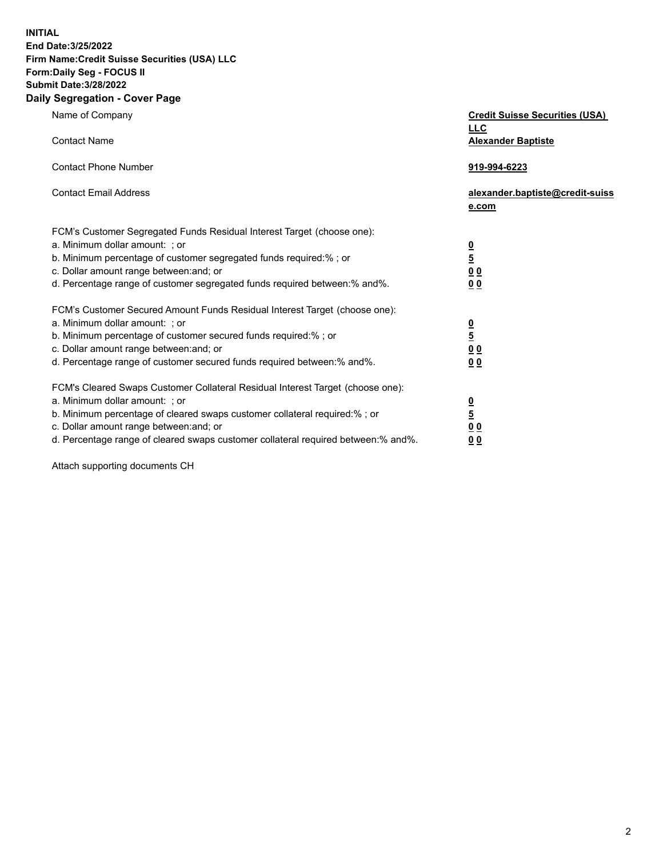**INITIAL End Date:3/25/2022** 

## **Firm Name:Credit Suisse Securities (USA) LLC Form:Daily Seg - FOCUS II Submit Date:3/28/2022**

## **Daily Segregation - Cover Page**

| Name of Company                                                                                                              | <b>Credit Suisse Securities (USA)</b><br><u>LLC</u> |
|------------------------------------------------------------------------------------------------------------------------------|-----------------------------------------------------|
| <b>Contact Name</b>                                                                                                          | <b>Alexander Baptiste</b>                           |
| <b>Contact Phone Number</b>                                                                                                  | 919-994-6223                                        |
| <b>Contact Email Address</b>                                                                                                 | alexander.baptiste@credit-suiss<br>e.com            |
| FCM's Customer Segregated Funds Residual Interest Target (choose one):                                                       |                                                     |
| a. Minimum dollar amount: ; or                                                                                               |                                                     |
| b. Minimum percentage of customer segregated funds required:% ; or                                                           | $\frac{0}{\frac{5}{0}}$                             |
| c. Dollar amount range between: and; or                                                                                      |                                                     |
| d. Percentage range of customer segregated funds required between:% and%.                                                    | 0 <sub>0</sub>                                      |
| FCM's Customer Secured Amount Funds Residual Interest Target (choose one):                                                   |                                                     |
| a. Minimum dollar amount: ; or                                                                                               | $\frac{0}{5}$                                       |
| b. Minimum percentage of customer secured funds required:% ; or                                                              |                                                     |
| c. Dollar amount range between: and; or                                                                                      | $\underline{0} \underline{0}$                       |
| d. Percentage range of customer secured funds required between: % and %.                                                     | 0 <sub>0</sub>                                      |
| FCM's Cleared Swaps Customer Collateral Residual Interest Target (choose one):                                               |                                                     |
| a. Minimum dollar amount: ; or                                                                                               | $\frac{0}{5}$                                       |
| b. Minimum percentage of cleared swaps customer collateral required:% ; or                                                   |                                                     |
| c. Dollar amount range between: and; or<br>d. Percentage range of cleared swaps customer collateral required between:% and%. | 0 <sub>0</sub>                                      |
|                                                                                                                              | 0 <sub>0</sub>                                      |

Attach supporting documents CH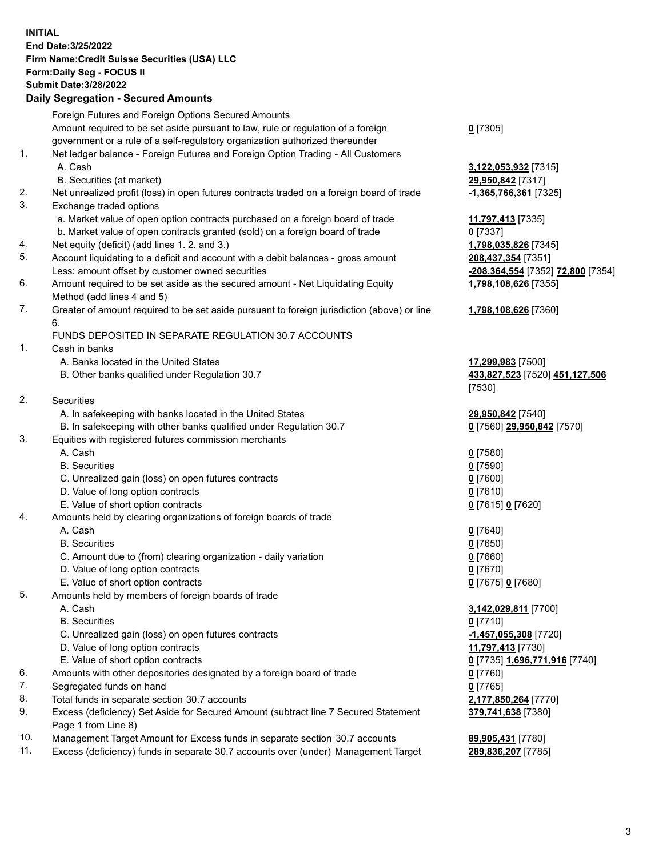**INITIAL End Date:3/25/2022 Firm Name:Credit Suisse Securities (USA) LLC Form:Daily Seg - FOCUS II Submit Date:3/28/2022**

## **Daily Segregation - Secured Amounts**

|     | Foreign Futures and Foreign Options Secured Amounts                                         |                                   |
|-----|---------------------------------------------------------------------------------------------|-----------------------------------|
|     | Amount required to be set aside pursuant to law, rule or regulation of a foreign            | $0$ [7305]                        |
|     | government or a rule of a self-regulatory organization authorized thereunder                |                                   |
| 1.  | Net ledger balance - Foreign Futures and Foreign Option Trading - All Customers             |                                   |
|     | A. Cash                                                                                     | 3,122,053,932 [7315]              |
|     | B. Securities (at market)                                                                   | 29,950,842 [7317]                 |
| 2.  | Net unrealized profit (loss) in open futures contracts traded on a foreign board of trade   | -1,365,766,361 [7325]             |
| 3.  | Exchange traded options                                                                     |                                   |
|     | a. Market value of open option contracts purchased on a foreign board of trade              | 11,797,413 [7335]                 |
|     | b. Market value of open contracts granted (sold) on a foreign board of trade                | $0$ [7337]                        |
| 4.  | Net equity (deficit) (add lines 1. 2. and 3.)                                               | 1,798,035,826 [7345]              |
| 5.  | Account liquidating to a deficit and account with a debit balances - gross amount           | 208,437,354 [7351]                |
|     | Less: amount offset by customer owned securities                                            | -208,364,554 [7352] 72,800 [7354] |
| 6.  | Amount required to be set aside as the secured amount - Net Liquidating Equity              | 1,798,108,626 [7355]              |
|     | Method (add lines 4 and 5)                                                                  |                                   |
| 7.  | Greater of amount required to be set aside pursuant to foreign jurisdiction (above) or line | 1,798,108,626 [7360]              |
|     | 6.                                                                                          |                                   |
|     | FUNDS DEPOSITED IN SEPARATE REGULATION 30.7 ACCOUNTS                                        |                                   |
| 1.  | Cash in banks                                                                               |                                   |
|     | A. Banks located in the United States                                                       | 17,299,983 [7500]                 |
|     | B. Other banks qualified under Regulation 30.7                                              | 433,827,523 [7520] 451,127,506    |
|     |                                                                                             | [7530]                            |
| 2.  | Securities                                                                                  |                                   |
|     | A. In safekeeping with banks located in the United States                                   | 29,950,842 [7540]                 |
|     | B. In safekeeping with other banks qualified under Regulation 30.7                          | 0 [7560] 29,950,842 [7570]        |
| 3.  | Equities with registered futures commission merchants                                       |                                   |
|     | A. Cash                                                                                     | $0$ [7580]                        |
|     | <b>B.</b> Securities                                                                        | $0$ [7590]                        |
|     | C. Unrealized gain (loss) on open futures contracts                                         | $0$ [7600]                        |
|     | D. Value of long option contracts                                                           | $0$ [7610]                        |
|     | E. Value of short option contracts                                                          | 0 [7615] 0 [7620]                 |
| 4.  | Amounts held by clearing organizations of foreign boards of trade                           |                                   |
|     | A. Cash                                                                                     | $0$ [7640]                        |
|     | <b>B.</b> Securities                                                                        | $0$ [7650]                        |
|     | C. Amount due to (from) clearing organization - daily variation                             | $0$ [7660]                        |
|     | D. Value of long option contracts                                                           | $0$ [7670]                        |
|     | E. Value of short option contracts                                                          | 0 [7675] 0 [7680]                 |
| 5.  | Amounts held by members of foreign boards of trade                                          |                                   |
|     | A. Cash                                                                                     | 3,142,029,811 [7700]              |
|     | <b>B.</b> Securities                                                                        | $0$ [7710]                        |
|     | C. Unrealized gain (loss) on open futures contracts                                         | $-1,457,055,308$ [7720]           |
|     | D. Value of long option contracts                                                           | 11,797,413 [7730]                 |
|     | E. Value of short option contracts                                                          | 0 [7735] 1,696,771,916 [7740]     |
| 6.  | Amounts with other depositories designated by a foreign board of trade                      | 0 [7760]                          |
| 7.  | Segregated funds on hand                                                                    | $0$ [7765]                        |
| 8.  | Total funds in separate section 30.7 accounts                                               | 2,177,850,264 [7770]              |
| 9.  | Excess (deficiency) Set Aside for Secured Amount (subtract line 7 Secured Statement         | 379,741,638 [7380]                |
|     | Page 1 from Line 8)                                                                         |                                   |
| 10. | Management Target Amount for Excess funds in separate section 30.7 accounts                 | 89,905,431 [7780]                 |

11. Excess (deficiency) funds in separate 30.7 accounts over (under) Management Target **289,836,207** [7785]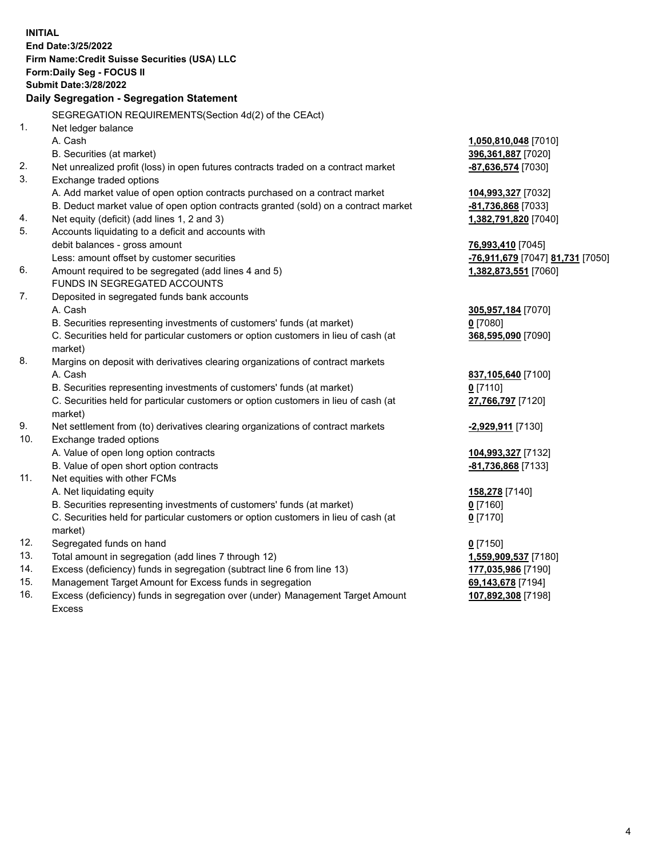**INITIAL End Date:3/25/2022 Firm Name:Credit Suisse Securities (USA) LLC Form:Daily Seg - FOCUS II Submit Date:3/28/2022 Daily Segregation - Segregation Statement** SEGREGATION REQUIREMENTS(Section 4d(2) of the CEAct) 1. Net ledger balance A. Cash **1,050,810,048** [7010] B. Securities (at market) **396,361,887** [7020] 2. Net unrealized profit (loss) in open futures contracts traded on a contract market **-87,636,574** [7030] 3. Exchange traded options A. Add market value of open option contracts purchased on a contract market **104,993,327** [7032] B. Deduct market value of open option contracts granted (sold) on a contract market **-81,736,868** [7033] 4. Net equity (deficit) (add lines 1, 2 and 3) **1,382,791,820** [7040] 5. Accounts liquidating to a deficit and accounts with debit balances - gross amount **76,993,410** [7045] Less: amount offset by customer securities **-76,911,679** [7047] **81,731** [7050] 6. Amount required to be segregated (add lines 4 and 5) **1,382,873,551** [7060] FUNDS IN SEGREGATED ACCOUNTS 7. Deposited in segregated funds bank accounts A. Cash **305,957,184** [7070] B. Securities representing investments of customers' funds (at market) **0** [7080] C. Securities held for particular customers or option customers in lieu of cash (at market) **368,595,090** [7090] 8. Margins on deposit with derivatives clearing organizations of contract markets A. Cash **837,105,640** [7100] B. Securities representing investments of customers' funds (at market) **0** [7110] C. Securities held for particular customers or option customers in lieu of cash (at market) **27,766,797** [7120] 9. Net settlement from (to) derivatives clearing organizations of contract markets **-2,929,911** [7130] 10. Exchange traded options A. Value of open long option contracts **104,993,327** [7132] B. Value of open short option contracts **-81,736,868** [7133] 11. Net equities with other FCMs A. Net liquidating equity **158,278** [7140] B. Securities representing investments of customers' funds (at market) **0** [7160] C. Securities held for particular customers or option customers in lieu of cash (at market) **0** [7170] 12. Segregated funds on hand **0** [7150] 13. Total amount in segregation (add lines 7 through 12) **1,559,909,537** [7180] 14. Excess (deficiency) funds in segregation (subtract line 6 from line 13) **177,035,986** [7190] 15. Management Target Amount for Excess funds in segregation **69,143,678** [7194] **107,892,308** [7198]

16. Excess (deficiency) funds in segregation over (under) Management Target Amount Excess